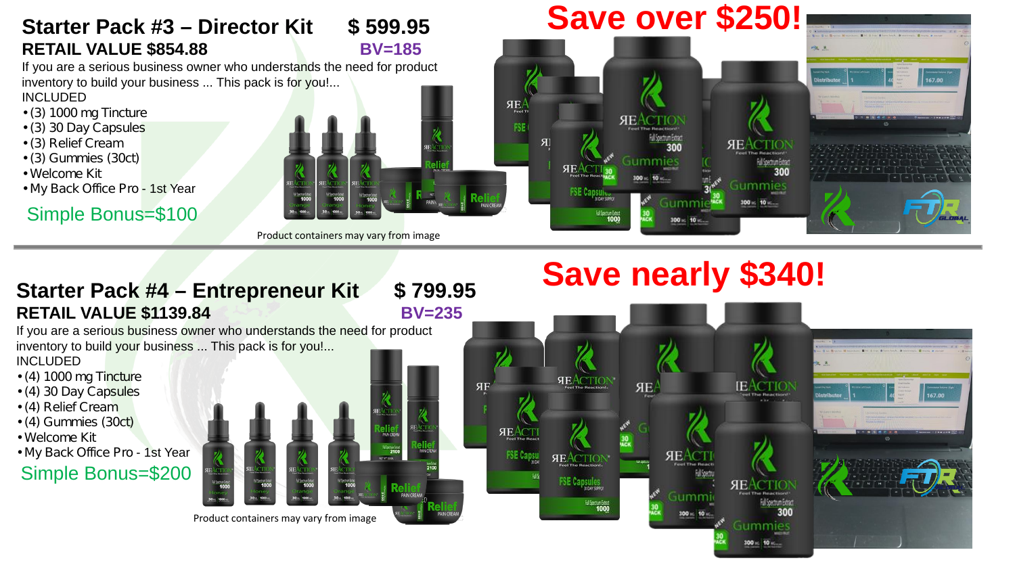### **Starter Pack #3 Director Kit \$ 599.95 RETAIL VALUE \$854.88 BV=185**

If you are a serious business owner who understands the need for product inventory to build your business ... This pack is for you!... INCLUDED

- (3) 1000 mg Tincture
- (3) 30 Day Capsules
- (3) Relief Cream
- (3) Gummies (30ct)
- Welcome Kit
- My Back Office Pro 1st Year

## Simple Bonus=\$100

Product containers may vary from image

#### **Save over \$250!** 167.00  $AE$ **SEACTIO** FSE **R SHACTIO** Gummie Full Spectrum Extrac Gummies

 $300 - 10$ 

**IEACTION** 

**SHACTIC** 

Gummies 100 vs. 10 vs.

300

167.00

# **Save nearly \$340!**

**SEAC** 

Gumm

**REACTION** 

**AEACTIO** 

ЯЕ

aumm 300 vs. 10 vs

**Starter Pack #4 Entrepreneur Kit \$ 799.95 RETAIL VALUE \$1139.84** BV=235

ЯF

**REACT** 

If you are a serious business owner who understands the need for product inventory to build your business ... This pack is for you!...

INCLUDED

- (4) 1000 mg Tincture
- (4) 30 Day Capsules
- (4) Relief Cream
- (4) Gummies (30ct)
- Welcome Kit
- My Back Office Pro 1st Year

Simple Bonus=\$200

Product containers may vary from image